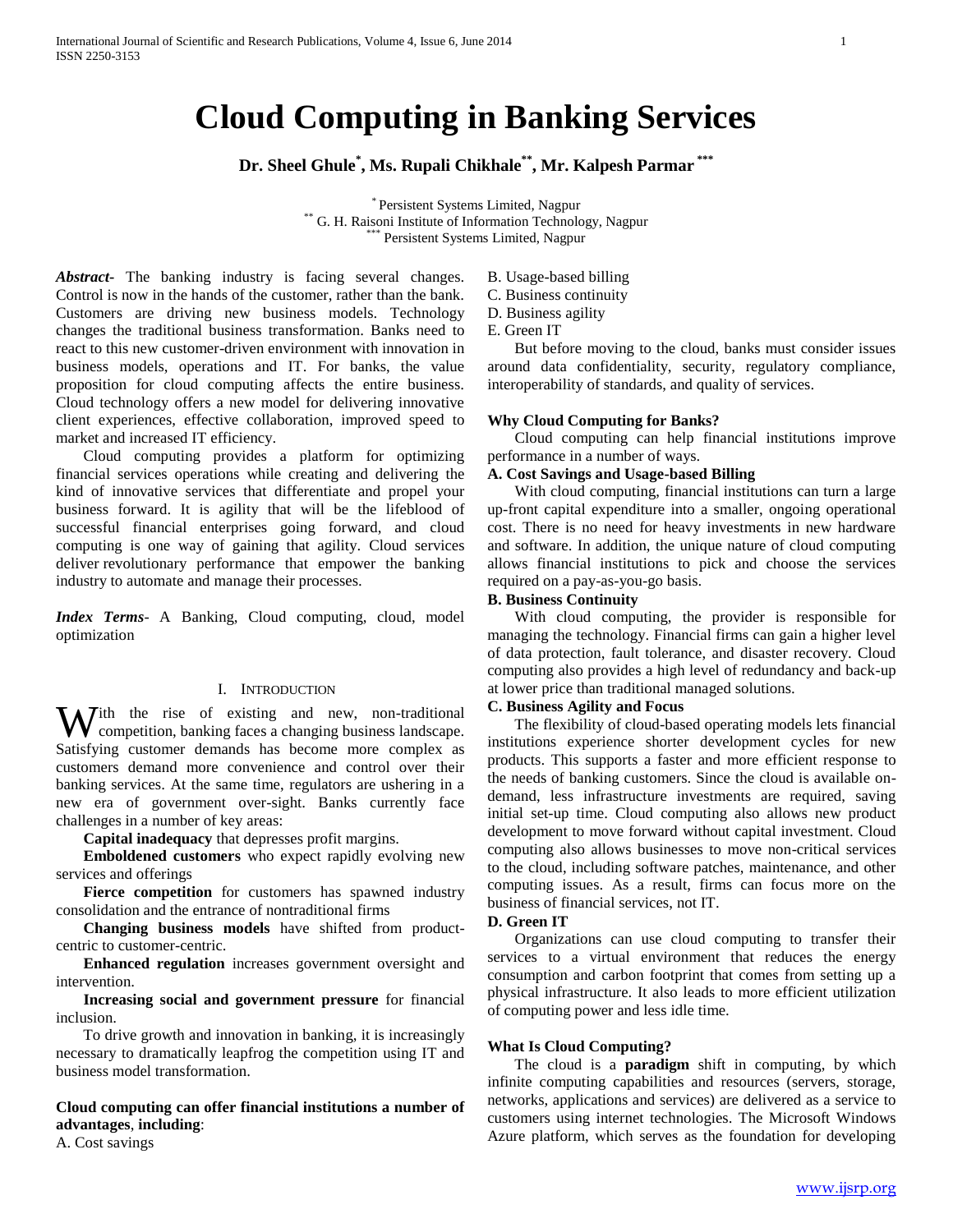# **Cloud Computing in Banking Services**

**Dr. Sheel Ghule\* , Ms. Rupali Chikhale\*\* , Mr. Kalpesh Parmar \*\*\***

\* Persistent Systems Limited, Nagpur \*\* G. H. Raisoni Institute of Information Technology, Nagpur \*\*\* Persistent Systems Limited, Nagpur

*Abstract***-** The banking industry is facing several changes. Control is now in the hands of the customer, rather than the bank. Customers are driving new business models. Technology changes the traditional business transformation. Banks need to react to this new customer-driven environment with innovation in business models, operations and IT. For banks, the value proposition for cloud computing affects the entire business. Cloud technology offers a new model for delivering innovative client experiences, effective collaboration, improved speed to market and increased IT efficiency.

 Cloud computing provides a platform for optimizing financial services operations while creating and delivering the kind of innovative services that differentiate and propel your business forward. It is agility that will be the lifeblood of successful financial enterprises going forward, and cloud computing is one way of gaining that agility. Cloud services deliver revolutionary performance that empower the banking industry to automate and manage their processes.

*Index Terms*- A Banking, Cloud computing, cloud, model optimization

#### I. INTRODUCTION

With the rise of existing and new, non-traditional competition, banking faces a changing business landscape. competition, banking faces a changing business landscape. Satisfying customer demands has become more complex as customers demand more convenience and control over their banking services. At the same time, regulators are ushering in a new era of government over-sight. Banks currently face challenges in a number of key areas:

 **Capital inadequacy** that depresses profit margins.

 **Emboldened customers** who expect rapidly evolving new services and offerings

 **Fierce competition** for customers has spawned industry consolidation and the entrance of nontraditional firms

 **Changing business models** have shifted from productcentric to customer-centric.

 **Enhanced regulation** increases government oversight and intervention.

 **Increasing social and government pressure** for financial inclusion.

To drive growth and innovation in banking, it is increasingly necessary to dramatically leapfrog the competition using IT and business model transformation.

## **Cloud computing can offer financial institutions a number of advantages**, **including**:

A. Cost savings

- B. Usage-based billing
- C. Business continuity
- D. Business agility
- E. Green IT

But before moving to the cloud, banks must consider issues around data confidentiality, security, regulatory compliance, interoperability of standards, and quality of services.

#### **Why Cloud Computing for Banks?**

Cloud computing can help financial institutions improve performance in a number of ways.

#### **A. Cost Savings and Usage-based Billing**

With cloud computing, financial institutions can turn a large up-front capital expenditure into a smaller, ongoing operational cost. There is no need for heavy investments in new hardware and software. In addition, the unique nature of cloud computing allows financial institutions to pick and choose the services required on a pay-as-you-go basis.

#### **B. Business Continuity**

With cloud computing, the provider is responsible for managing the technology. Financial firms can gain a higher level of data protection, fault tolerance, and disaster recovery. Cloud computing also provides a high level of redundancy and back-up at lower price than traditional managed solutions.

#### **C. Business Agility and Focus**

The flexibility of cloud-based operating models lets financial institutions experience shorter development cycles for new products. This supports a faster and more efficient response to the needs of banking customers. Since the cloud is available ondemand, less infrastructure investments are required, saving initial set-up time. Cloud computing also allows new product development to move forward without capital investment. Cloud computing also allows businesses to move non-critical services to the cloud, including software patches, maintenance, and other computing issues. As a result, firms can focus more on the business of financial services, not IT.

#### **D. Green IT**

Organizations can use cloud computing to transfer their services to a virtual environment that reduces the energy consumption and carbon footprint that comes from setting up a physical infrastructure. It also leads to more efficient utilization of computing power and less idle time.

### **What Is Cloud Computing?**

The cloud is a **paradigm** shift in computing, by which infinite computing capabilities and resources (servers, storage, networks, applications and services) are delivered as a service to customers using internet technologies. The Microsoft Windows Azure platform, which serves as the foundation for developing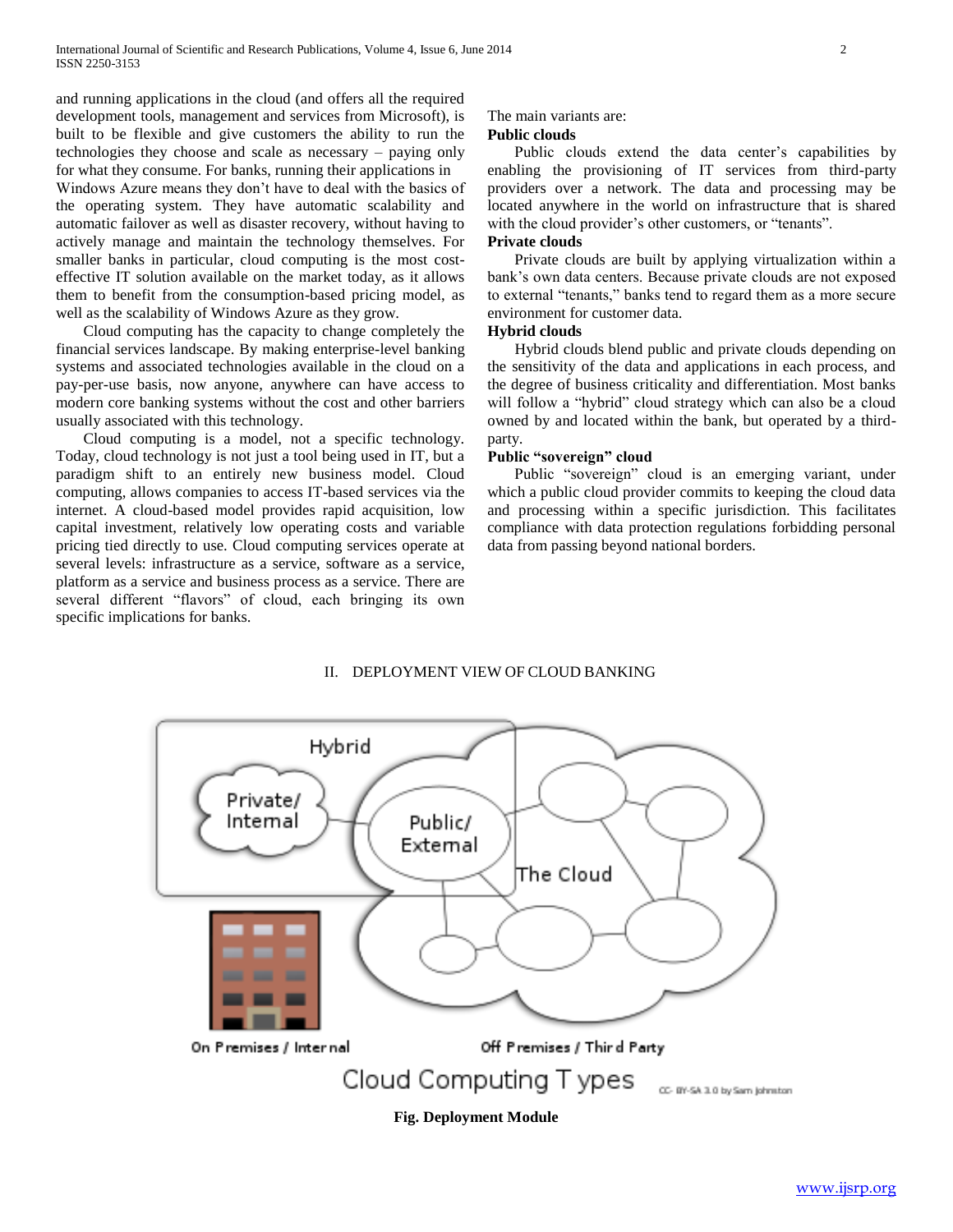and running applications in the cloud (and offers all the required development tools, management and services from Microsoft), is built to be flexible and give customers the ability to run the technologies they choose and scale as necessary – paying only for what they consume. For banks, running their applications in Windows Azure means they don't have to deal with the basics of the operating system. They have automatic scalability and automatic failover as well as disaster recovery, without having to actively manage and maintain the technology themselves. For smaller banks in particular, cloud computing is the most costeffective IT solution available on the market today, as it allows them to benefit from the consumption-based pricing model, as well as the scalability of Windows Azure as they grow.

Cloud computing has the capacity to change completely the financial services landscape. By making enterprise-level banking systems and associated technologies available in the cloud on a pay-per-use basis, now anyone, anywhere can have access to modern core banking systems without the cost and other barriers usually associated with this technology.

Cloud computing is a model, not a specific technology. Today, cloud technology is not just a tool being used in IT, but a paradigm shift to an entirely new business model. Cloud computing, allows companies to access IT-based services via the internet. A cloud-based model provides rapid acquisition, low capital investment, relatively low operating costs and variable pricing tied directly to use. Cloud computing services operate at several levels: infrastructure as a service, software as a service, platform as a service and business process as a service. There are several different "flavors" of cloud, each bringing its own specific implications for banks.

### The main variants are:

#### **Public clouds**

Public clouds extend the data center's capabilities by enabling the provisioning of IT services from third-party providers over a network. The data and processing may be located anywhere in the world on infrastructure that is shared with the cloud provider's other customers, or "tenants".

## **Private clouds**

Private clouds are built by applying virtualization within a bank's own data centers. Because private clouds are not exposed to external "tenants," banks tend to regard them as a more secure environment for customer data.

### **Hybrid clouds**

Hybrid clouds blend public and private clouds depending on the sensitivity of the data and applications in each process, and the degree of business criticality and differentiation. Most banks will follow a "hybrid" cloud strategy which can also be a cloud owned by and located within the bank, but operated by a thirdparty.

#### **Public "sovereign" cloud**

Public "sovereign" cloud is an emerging variant, under which a public cloud provider commits to keeping the cloud data and processing within a specific jurisdiction. This facilitates compliance with data protection regulations forbidding personal data from passing beyond national borders.

## II. DEPLOYMENT VIEW OF CLOUD BANKING

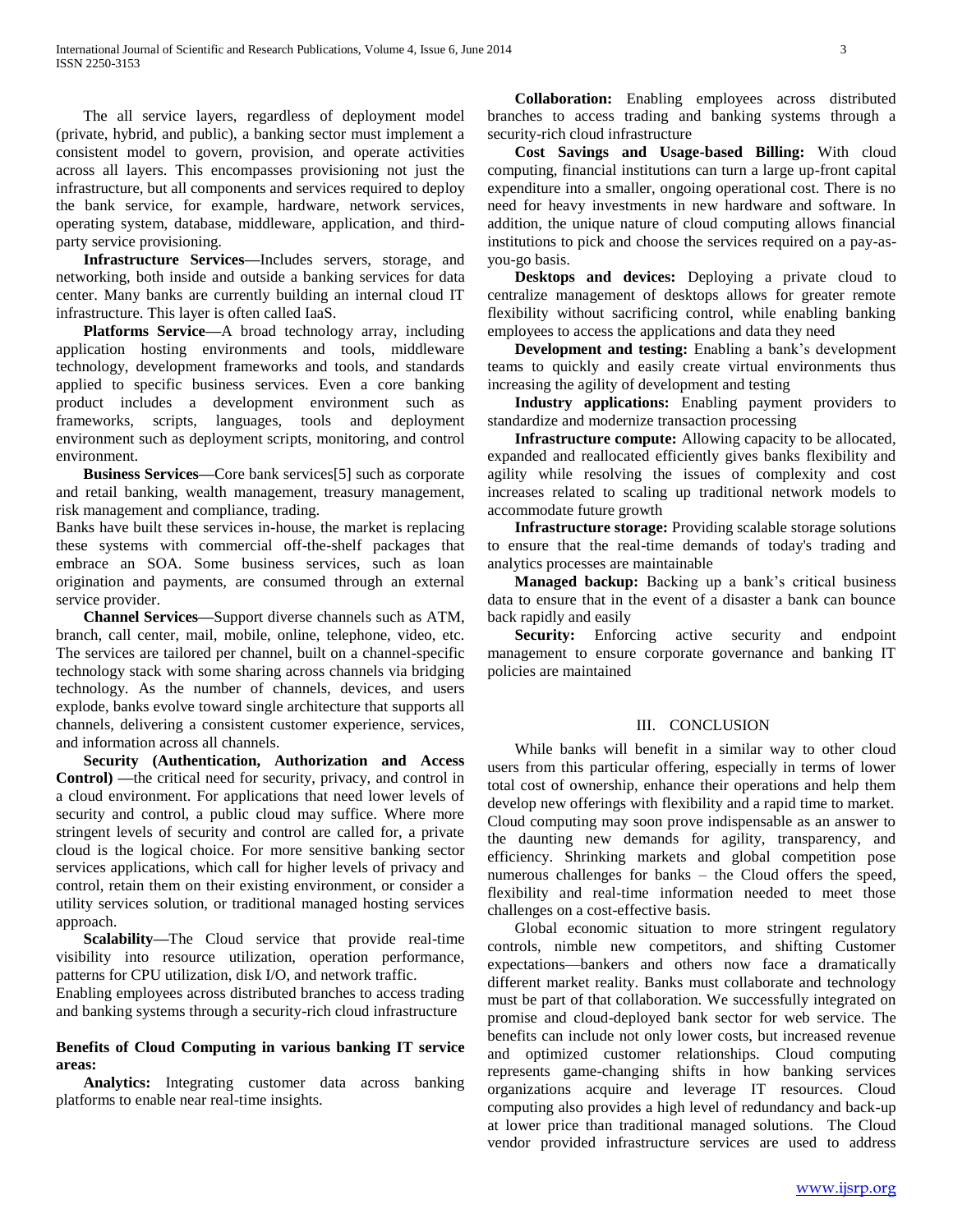The all service layers, regardless of deployment model (private, hybrid, and public), a banking sector must implement a consistent model to govern, provision, and operate activities across all layers. This encompasses provisioning not just the infrastructure, but all components and services required to deploy the bank service, for example, hardware, network services, operating system, database, middleware, application, and thirdparty service provisioning.

 **Infrastructure Services—**Includes servers, storage, and networking, both inside and outside a banking services for data center. Many banks are currently building an internal cloud IT infrastructure. This layer is often called IaaS.

 **Platforms Service—**A broad technology array, including application hosting environments and tools, middleware technology, development frameworks and tools, and standards applied to specific business services. Even a core banking product includes a development environment such as frameworks, scripts, languages, tools and deployment environment such as deployment scripts, monitoring, and control environment.

 **Business Services—**Core bank services[5] such as corporate and retail banking, wealth management, treasury management, risk management and compliance, trading.

Banks have built these services in-house, the market is replacing these systems with commercial off-the-shelf packages that embrace an SOA. Some business services, such as loan origination and payments, are consumed through an external service provider.

 **Channel Services—**Support diverse channels such as ATM, branch, call center, mail, mobile, online, telephone, video, etc. The services are tailored per channel, built on a channel-specific technology stack with some sharing across channels via bridging technology. As the number of channels, devices, and users explode, banks evolve toward single architecture that supports all channels, delivering a consistent customer experience, services, and information across all channels.

 **Security (Authentication, Authorization and Access Control) —**the critical need for security, privacy, and control in a cloud environment. For applications that need lower levels of security and control, a public cloud may suffice. Where more stringent levels of security and control are called for, a private cloud is the logical choice. For more sensitive banking sector services applications, which call for higher levels of privacy and control, retain them on their existing environment, or consider a utility services solution, or traditional managed hosting services approach.

 **Scalability—**The Cloud service that provide real-time visibility into resource utilization, operation performance, patterns for CPU utilization, disk I/O, and network traffic.

Enabling employees across distributed branches to access trading and banking systems through a security-rich cloud infrastructure

#### **Benefits of Cloud Computing in various banking IT service areas:**

 **Analytics:** Integrating customer data across banking platforms to enable near real-time insights.

 **Collaboration:** Enabling employees across distributed branches to access trading and banking systems through a security-rich cloud infrastructure

 **Cost Savings and Usage-based Billing:** With cloud computing, financial institutions can turn a large up-front capital expenditure into a smaller, ongoing operational cost. There is no need for heavy investments in new hardware and software. In addition, the unique nature of cloud computing allows financial institutions to pick and choose the services required on a pay-asyou-go basis.

 **Desktops and devices:** Deploying a private cloud to centralize management of desktops allows for greater remote flexibility without sacrificing control, while enabling banking employees to access the applications and data they need

 **Development and testing:** Enabling a bank's development teams to quickly and easily create virtual environments thus increasing the agility of development and testing

 **Industry applications:** Enabling payment providers to standardize and modernize transaction processing

 **Infrastructure compute:** Allowing capacity to be allocated, expanded and reallocated efficiently gives banks flexibility and agility while resolving the issues of complexity and cost increases related to scaling up traditional network models to accommodate future growth

 **Infrastructure storage:** Providing scalable storage solutions to ensure that the real-time demands of today's trading and analytics processes are maintainable

 **Managed backup:** Backing up a bank's critical business data to ensure that in the event of a disaster a bank can bounce back rapidly and easily

**Security:** Enforcing active security and endpoint management to ensure corporate governance and banking IT policies are maintained

#### III. CONCLUSION

While banks will benefit in a similar way to other cloud users from this particular offering, especially in terms of lower total cost of ownership, enhance their operations and help them develop new offerings with flexibility and a rapid time to market. Cloud computing may soon prove indispensable as an answer to the daunting new demands for agility, transparency, and efficiency. Shrinking markets and global competition pose numerous challenges for banks – the Cloud offers the speed, flexibility and real-time information needed to meet those challenges on a cost-effective basis.

Global economic situation to more stringent regulatory controls, nimble new competitors, and shifting Customer expectations—bankers and others now face a dramatically different market reality. Banks must collaborate and technology must be part of that collaboration. We successfully integrated on promise and cloud-deployed bank sector for web service. The benefits can include not only lower costs, but increased revenue and optimized customer relationships. Cloud computing represents game-changing shifts in how banking services organizations acquire and leverage IT resources. Cloud computing also provides a high level of redundancy and back-up at lower price than traditional managed solutions. The Cloud vendor provided infrastructure services are used to address